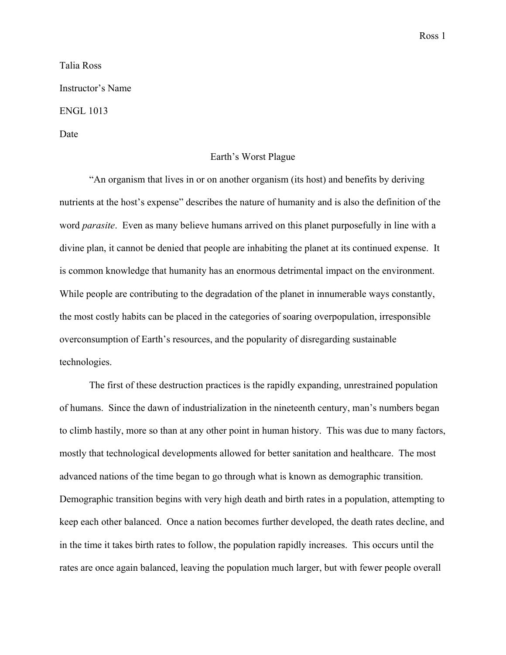Talia Ross

Instructor's Name

ENGL 1013

Date

## Earth's Worst Plague

"An organism that lives in or on another organism (its host) and benefits by deriving nutrients at the host's expense" describes the nature of humanity and is also the definition of the word *parasite*. Even as many believe humans arrived on this planet purposefully in line with a divine plan, it cannot be denied that people are inhabiting the planet at its continued expense. It is common knowledge that humanity has an enormous detrimental impact on the environment. While people are contributing to the degradation of the planet in innumerable ways constantly, the most costly habits can be placed in the categories of soaring overpopulation, irresponsible overconsumption of Earth's resources, and the popularity of disregarding sustainable technologies.

The first of these destruction practices is the rapidly expanding, unrestrained population of humans. Since the dawn of industrialization in the nineteenth century, man's numbers began to climb hastily, more so than at any other point in human history. This was due to many factors, mostly that technological developments allowed for better sanitation and healthcare. The most advanced nations of the time began to go through what is known as demographic transition. Demographic transition begins with very high death and birth rates in a population, attempting to keep each other balanced. Once a nation becomes further developed, the death rates decline, and in the time it takes birth rates to follow, the population rapidly increases. This occurs until the rates are once again balanced, leaving the population much larger, but with fewer people overall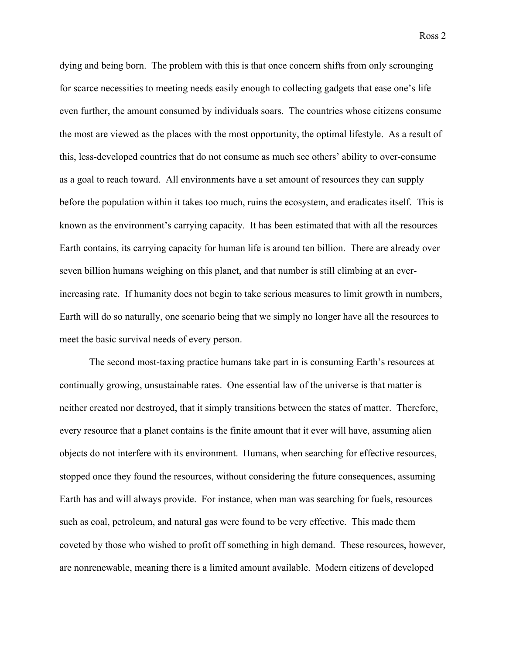Ross 2

dying and being born. The problem with this is that once concern shifts from only scrounging for scarce necessities to meeting needs easily enough to collecting gadgets that ease one's life even further, the amount consumed by individuals soars. The countries whose citizens consume the most are viewed as the places with the most opportunity, the optimal lifestyle. As a result of this, less-developed countries that do not consume as much see others' ability to over-consume as a goal to reach toward. All environments have a set amount of resources they can supply before the population within it takes too much, ruins the ecosystem, and eradicates itself. This is known as the environment's carrying capacity. It has been estimated that with all the resources Earth contains, its carrying capacity for human life is around ten billion. There are already over seven billion humans weighing on this planet, and that number is still climbing at an everincreasing rate. If humanity does not begin to take serious measures to limit growth in numbers, Earth will do so naturally, one scenario being that we simply no longer have all the resources to meet the basic survival needs of every person.

The second most-taxing practice humans take part in is consuming Earth's resources at continually growing, unsustainable rates. One essential law of the universe is that matter is neither created nor destroyed, that it simply transitions between the states of matter. Therefore, every resource that a planet contains is the finite amount that it ever will have, assuming alien objects do not interfere with its environment. Humans, when searching for effective resources, stopped once they found the resources, without considering the future consequences, assuming Earth has and will always provide. For instance, when man was searching for fuels, resources such as coal, petroleum, and natural gas were found to be very effective. This made them coveted by those who wished to profit off something in high demand. These resources, however, are nonrenewable, meaning there is a limited amount available. Modern citizens of developed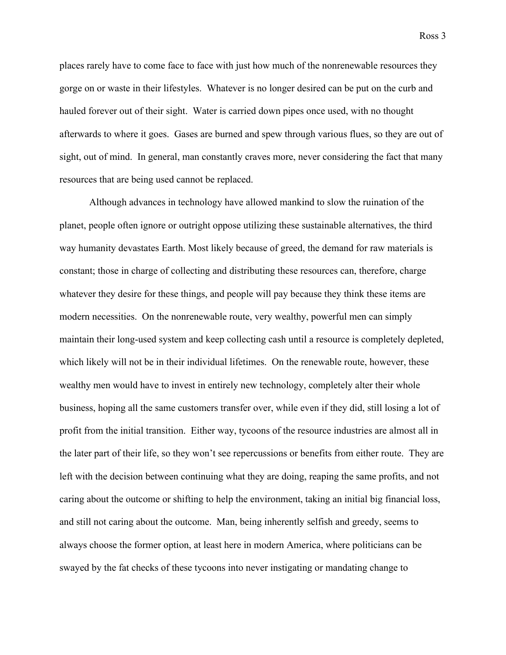Ross 3

places rarely have to come face to face with just how much of the nonrenewable resources they gorge on or waste in their lifestyles. Whatever is no longer desired can be put on the curb and hauled forever out of their sight. Water is carried down pipes once used, with no thought afterwards to where it goes. Gases are burned and spew through various flues, so they are out of sight, out of mind. In general, man constantly craves more, never considering the fact that many resources that are being used cannot be replaced.

Although advances in technology have allowed mankind to slow the ruination of the planet, people often ignore or outright oppose utilizing these sustainable alternatives, the third way humanity devastates Earth. Most likely because of greed, the demand for raw materials is constant; those in charge of collecting and distributing these resources can, therefore, charge whatever they desire for these things, and people will pay because they think these items are modern necessities. On the nonrenewable route, very wealthy, powerful men can simply maintain their long-used system and keep collecting cash until a resource is completely depleted, which likely will not be in their individual lifetimes. On the renewable route, however, these wealthy men would have to invest in entirely new technology, completely alter their whole business, hoping all the same customers transfer over, while even if they did, still losing a lot of profit from the initial transition. Either way, tycoons of the resource industries are almost all in the later part of their life, so they won't see repercussions or benefits from either route. They are left with the decision between continuing what they are doing, reaping the same profits, and not caring about the outcome or shifting to help the environment, taking an initial big financial loss, and still not caring about the outcome. Man, being inherently selfish and greedy, seems to always choose the former option, at least here in modern America, where politicians can be swayed by the fat checks of these tycoons into never instigating or mandating change to